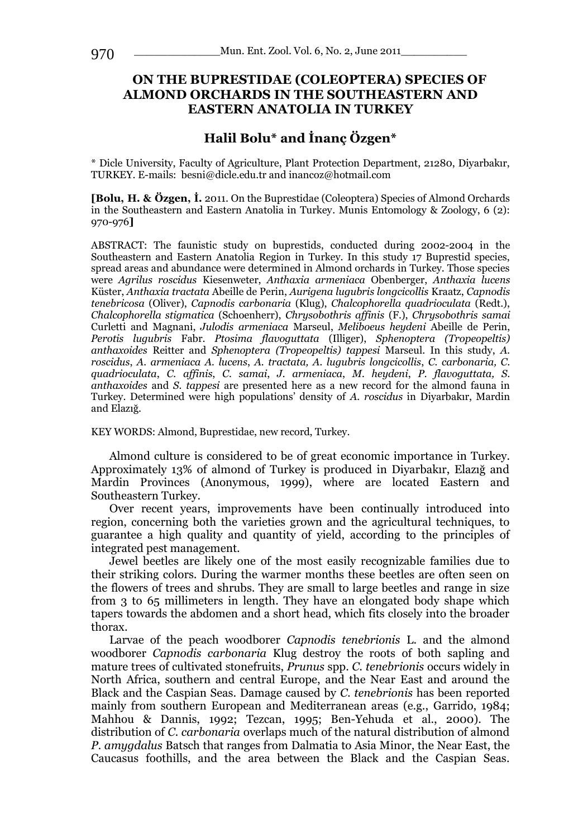# **ON THE BUPRESTIDAE (COLEOPTERA) SPECIES OF ALMOND ORCHARDS IN THE SOUTHEASTERN AND EASTERN ANATOLIA IN TURKEY**

# **Halil Bolu\* and İnanç Özgen\***

\* Dicle University, Faculty of Agriculture, Plant Protection Department, 21280, Diyarbakır, TURKEY. E-mails: besni@dicle.edu.tr and inancoz@hotmail.com

**[Bolu, H. & Özgen, İ.** 2011. On the Buprestidae (Coleoptera) Species of Almond Orchards in the Southeastern and Eastern Anatolia in Turkey. Munis Entomology & Zoology, 6 (2): 970-976**]**

ABSTRACT: The faunistic study on buprestids, conducted during 2002-2004 in the Southeastern and Eastern Anatolia Region in Turkey. In this study 17 Buprestid species, spread areas and abundance were determined in Almond orchards in Turkey. Those species were *Agrilus roscidus* Kiesenweter, *Anthaxia armeniaca* Obenberger, *Anthaxia lucens*  Küster, *Anthaxia tractata* Abeille de Perin, *Aurigena lugubris longcicollis* Kraatz, *Capnodis tenebricosa* (Oliver), *Capnodis carbonaria* (Klug), *Chalcophorella quadrioculata* (Redt.), *Chalcophorella stigmatica* (Schoenherr), *Chrysobothris affinis* (F.), *Chrysobothris samai*  Curletti and Magnani, *Julodis armeniaca* Marseul, *Meliboeus heydeni* Abeille de Perin, *Perotis lugubris* Fabr. *Ptosima flavoguttata* (Illiger), *Sphenoptera (Tropeopeltis) anthaxoides* Reitter and *Sphenoptera (Tropeopeltis) tappesi* Marseul. In this study, *A. roscidus*, *A. armeniaca A. lucens*, *A. tractata, A. lugubris longcicollis*, *C. carbonaria, C. quadrioculata*, *C. affinis*, *C. samai*, *J. armeniaca*, *M. heydeni*, *P. flavoguttata, S. anthaxoides* and *S. tappesi* are presented here as a new record for the almond fauna in Turkey. Determined were high populations' density of *A. roscidus* in Diyarbakır, Mardin and Elazığ.

KEY WORDS: Almond, Buprestidae, new record, Turkey.

Almond culture is considered to be of great economic importance in Turkey. Approximately 13% of almond of Turkey is produced in Diyarbakır, Elazığ and Mardin Provinces (Anonymous, 1999), where are located Eastern and Southeastern Turkey.

Over recent years, improvements have been continually introduced into region, concerning both the varieties grown and the agricultural techniques, to guarantee a high quality and quantity of yield, according to the principles of integrated pest management.

Jewel beetles are likely one of the most easily recognizable families due to their striking colors. During the warmer months these beetles are often seen on the flowers of trees and shrubs. They are small to large beetles and range in size from 3 to 65 millimeters in length. They have an elongated body shape which tapers towards the abdomen and a short head, which fits closely into the broader thorax.

Larvae of the peach woodborer *Capnodis tenebrionis* L. and the almond woodborer *Capnodis carbonaria* Klug destroy the roots of both sapling and mature trees of cultivated stonefruits, *Prunus* spp. *C. tenebrionis* occurs widely in North Africa, southern and central Europe, and the Near East and around the Black and the Caspian Seas. Damage caused by *C. tenebrionis* has been reported mainly from southern European and Mediterranean areas (e.g., Garrido, 1984; Mahhou & Dannis, 1992; Tezcan, 1995; Ben-Yehuda et al., 2000). The distribution of *C. carbonaria* overlaps much of the natural distribution of almond *P. amygdalus* Batsch that ranges from Dalmatia to Asia Minor, the Near East, the Caucasus foothills, and the area between the Black and the Caspian Seas.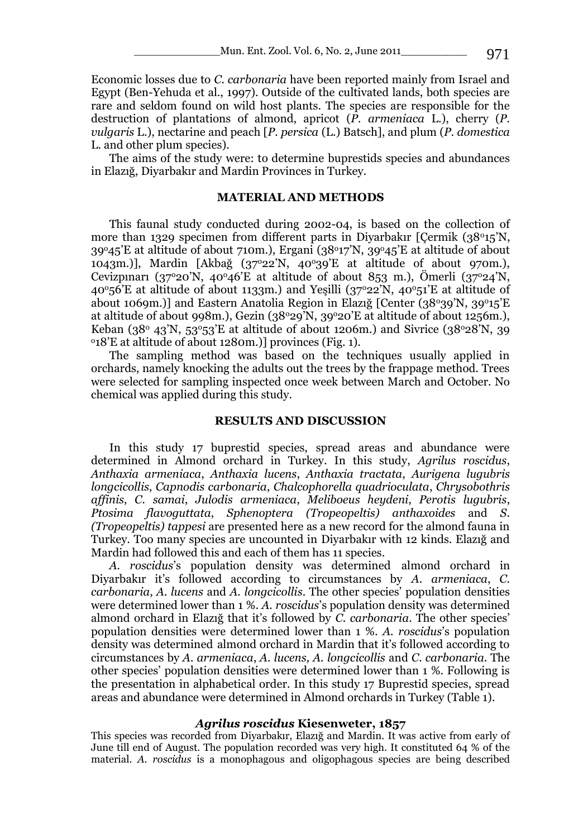Economic losses due to *C. carbonaria* have been reported mainly from Israel and Egypt (Ben-Yehuda et al., 1997). Outside of the cultivated lands, both species are rare and seldom found on wild host plants. The species are responsible for the destruction of plantations of almond, apricot (*P. armeniaca* L.), cherry (*P. vulgaris* L.), nectarine and peach [*P. persica* (L.) Batsch], and plum (*P. domestica*  L. and other plum species).

The aims of the study were: to determine buprestids species and abundances in Elazığ, Diyarbakır and Mardin Provinces in Turkey.

## **MATERIAL AND METHODS**

This faunal study conducted during 2002-04, is based on the collection of more than 1329 specimen from different parts in Diyarbakır [Çermik (38<sup>o</sup>15'N,  $39^{\circ}45'$ E at altitude of about 710m.), Ergani  $(38^{\circ}17'N, 39^{\circ}45'E$  at altitude of about 1043m.)], Mardin [Akbağ (37°22'N, 40°39'E at altitude of about 970m.), Cevizpinarı (37°20'N, 40°46'E at altitude of about 853 m.), Ömerli (37°24'N,  $40^{\circ}56'E$  at altitude of about 1133m.) and Yesilli  $(37^{\circ}22'N, 40^{\circ}51'E$  at altitude of about 1069m.)] and Eastern Anatolia Region in Elazığ [Center (38°39'N, 39°15'E at altitude of about 998m.), Gezin  $(38°29'N, 39°20'E)$  at altitude of about 1256m.), Keban (38<sup>o</sup> 43<sup>'</sup>N, 53<sup>o</sup>53<sup>'</sup>E at altitude of about 1206m.) and Sivrice (38<sup>o</sup>28<sup>'</sup>N, 39 <sup>o</sup>18'E at altitude of about 1280m.)] provinces (Fig. 1).

The sampling method was based on the techniques usually applied in orchards, namely knocking the adults out the trees by the frappage method. Trees were selected for sampling inspected once week between March and October. No chemical was applied during this study.

## **RESULTS AND DISCUSSION**

In this study 17 buprestid species, spread areas and abundance were determined in Almond orchard in Turkey. In this study, *Agrilus roscidus*, *Anthaxia armeniaca*, *Anthaxia lucens*, *Anthaxia tractata*, *Aurigena lugubris longcicollis*, *Capnodis carbonaria*, *Chalcophorella quadrioculata*, *Chrysobothris affinis*, *C. samai*, *Julodis armeniaca*, *Meliboeus heydeni*, *Perotis lugubris*, *Ptosima flavoguttata*, *Sphenoptera (Tropeopeltis) anthaxoides* and *S. (Tropeopeltis) tappesi* are presented here as a new record for the almond fauna in Turkey. Too many species are uncounted in Diyarbakır with 12 kinds. Elazığ and Mardin had followed this and each of them has 11 species.

*A. roscidus*'s population density was determined almond orchard in Diyarbakır it's followed according to circumstances by *A. armeniaca*, *C. carbonaria*, *A. lucens* and *A. longcicollis*. The other species' population densities were determined lower than 1 %. *A. roscidus*'s population density was determined almond orchard in Elazığ that it's followed by *C. carbonaria*. The other species' population densities were determined lower than 1 %. *A. roscidus*'s population density was determined almond orchard in Mardin that it's followed according to circumstances by *A. armeniaca*, *A. lucens, A. longcicollis* and *C. carbonaria*. The other species' population densities were determined lower than 1 %. Following is the presentation in alphabetical order. In this study 17 Buprestid species, spread areas and abundance were determined in Almond orchards in Turkey (Table 1).

## *Agrilus roscidus* **Kiesenweter, 1857**

This species was recorded from Diyarbakır, Elazığ and Mardin. It was active from early of June till end of August. The population recorded was very high. It constituted 64 % of the material. *A. roscidus* is a monophagous and oligophagous species are being described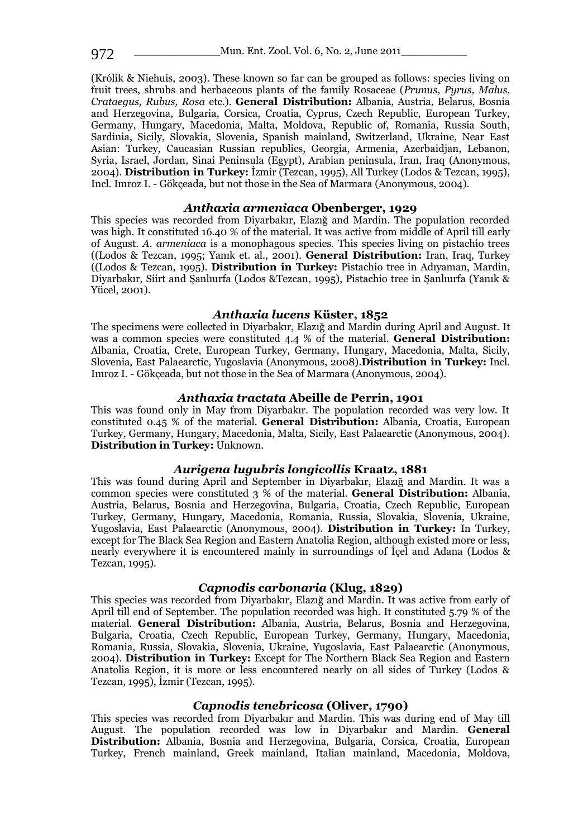(Królik & Niehuis, 2003). These known so far can be grouped as follows: species living on fruit trees, shrubs and herbaceous plants of the family Rosaceae (*Prunus, Pyrus, Malus, Crataegus, Rubus, Rosa* etc.). **General Distribution:** Albania, Austria, Belarus, Bosnia and Herzegovina, Bulgaria, Corsica, Croatia, Cyprus, Czech Republic, European Turkey, Germany, Hungary, Macedonia, Malta, Moldova, Republic of, Romania, Russia South, Sardinia, Sicily, Slovakia, Slovenia, Spanish mainland, Switzerland, Ukraine, Near East Asian: Turkey, Caucasian Russian republics, Georgia, Armenia, Azerbaidjan, Lebanon, Syria, Israel, Jordan, Sinai Peninsula (Egypt), Arabian peninsula, Iran, Iraq (Anonymous, 2004). **Distribution in Turkey:** İzmir (Tezcan, 1995), All Turkey (Lodos & Tezcan, 1995), Incl. Imroz I. - Gökçeada, but not those in the Sea of Marmara (Anonymous, 2004).

#### *Anthaxia armeniaca* **Obenberger, 1929**

This species was recorded from Diyarbakır, Elazığ and Mardin. The population recorded was high. It constituted 16.40 % of the material. It was active from middle of April till early of August. *A. armeniaca* is a monophagous species. This species living on pistachio trees ((Lodos & Tezcan, 1995; Yanık et. al., 2001). **General Distribution:** Iran, Iraq, Turkey ((Lodos & Tezcan, 1995). **Distribution in Turkey:** Pistachio tree in Adıyaman, Mardin, Diyarbakır, Siirt and Şanlıurfa (Lodos &Tezcan, 1995), Pistachio tree in Şanlıurfa (Yanık & Yücel, 2001).

#### *Anthaxia lucens* **Küster, 1852**

The specimens were collected in Diyarbakır, Elazığ and Mardin during April and August. It was a common species were constituted 4.4 % of the material. **General Distribution:** Albania, Croatia, Crete, European Turkey, Germany, Hungary, Macedonia, Malta, Sicily, Slovenia, East Palaearctic, Yugoslavia (Anonymous, 2008).**Distribution in Turkey:** Incl. Imroz I. - Gökçeada, but not those in the Sea of Marmara (Anonymous, 2004).

#### *Anthaxia tractata* **Abeille de Perrin, 1901**

This was found only in May from Diyarbakır. The population recorded was very low. It constituted 0.45 % of the material. **General Distribution:** Albania, Croatia, European Turkey, Germany, Hungary, Macedonia, Malta, Sicily, East Palaearctic (Anonymous, 2004). **Distribution in Turkey:** Unknown.

### *Aurigena lugubris longicollis* **Kraatz, 1881**

This was found during April and September in Diyarbakır, Elazığ and Mardin. It was a common species were constituted 3 % of the material. **General Distribution:** Albania, Austria, Belarus, Bosnia and Herzegovina, Bulgaria, Croatia, Czech Republic, European Turkey, Germany, Hungary, Macedonia, Romania, Russia, Slovakia, Slovenia, Ukraine, Yugoslavia, East Palaearctic (Anonymous, 2004). **Distribution in Turkey:** In Turkey, except for The Black Sea Region and Eastern Anatolia Region, although existed more or less, nearly everywhere it is encountered mainly in surroundings of İçel and Adana (Lodos & Tezcan, 1995).

## *Capnodis carbonaria* **(Klug, 1829)**

This species was recorded from Diyarbakır, Elazığ and Mardin. It was active from early of April till end of September. The population recorded was high. It constituted 5.79 % of the material. **General Distribution:** Albania, Austria, Belarus, Bosnia and Herzegovina, Bulgaria, Croatia, Czech Republic, European Turkey, Germany, Hungary, Macedonia, Romania, Russia, Slovakia, Slovenia, Ukraine, Yugoslavia, East Palaearctic (Anonymous, 2004). **Distribution in Turkey:** Except for The Northern Black Sea Region and Eastern Anatolia Region, it is more or less encountered nearly on all sides of Turkey (Lodos & Tezcan, 1995), İzmir (Tezcan, 1995).

#### *Capnodis tenebricosa* **(Oliver, 1790)**

This species was recorded from Diyarbakır and Mardin. This was during end of May till August. The population recorded was low in Diyarbakır and Mardin. **General Distribution:** Albania, Bosnia and Herzegovina, Bulgaria, Corsica, Croatia, European Turkey, French mainland, Greek mainland, Italian mainland, Macedonia, Moldova,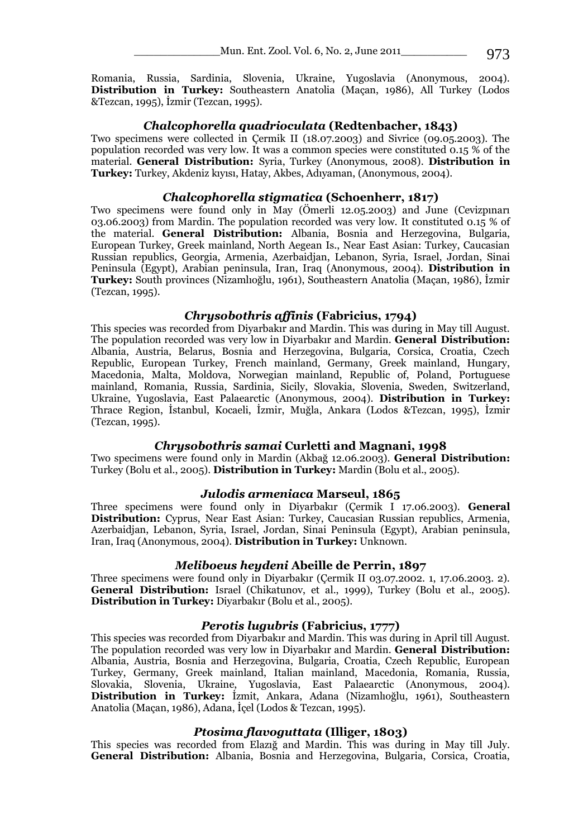Romania, Russia, Sardinia, Slovenia, Ukraine, Yugoslavia (Anonymous, 2004). **Distribution in Turkey:** Southeastern Anatolia (Maçan, 1986), All Turkey (Lodos &Tezcan, 1995), İzmir (Tezcan, 1995).

#### *Chalcophorella quadrioculata* **(Redtenbacher, 1843)**

Two specimens were collected in Çermik II (18.07.2003) and Sivrice (09.05.2003). The population recorded was very low. It was a common species were constituted 0.15 % of the material. **General Distribution:** Syria, Turkey (Anonymous, 2008). **Distribution in Turkey:** Turkey, Akdeniz kıyısı, Hatay, Akbes, Adıyaman, (Anonymous, 2004).

## *Chalcophorella stigmatica* **(Schoenherr, 1817)**

Two specimens were found only in May (Ömerli 12.05.2003) and June (Cevizpınarı 03.06.2003) from Mardin. The population recorded was very low. It constituted 0.15 % of the material. **General Distribution:** Albania, Bosnia and Herzegovina, Bulgaria, European Turkey, Greek mainland, North Aegean Is., Near East Asian: Turkey, Caucasian Russian republics, Georgia, Armenia, Azerbaidjan, Lebanon, Syria, Israel, Jordan, Sinai Peninsula (Egypt), Arabian peninsula, Iran, Iraq (Anonymous, 2004). **Distribution in Turkey:** South provinces (Nizamlıoğlu, 1961), Southeastern Anatolia (Maçan, 1986), İzmir (Tezcan, 1995).

## *Chrysobothris affinis* **(Fabricius, 1794)**

This species was recorded from Diyarbakır and Mardin. This was during in May till August. The population recorded was very low in Diyarbakır and Mardin. **General Distribution:**  Albania, Austria, Belarus, Bosnia and Herzegovina, Bulgaria, Corsica, Croatia, Czech Republic, European Turkey, French mainland, Germany, Greek mainland, Hungary, Macedonia, Malta, Moldova, Norwegian mainland, Republic of, Poland, Portuguese mainland, Romania, Russia, Sardinia, Sicily, Slovakia, Slovenia, Sweden, Switzerland, Ukraine, Yugoslavia, East Palaearctic (Anonymous, 2004). **Distribution in Turkey:** Thrace Region, İstanbul, Kocaeli, İzmir, Muğla, Ankara (Lodos &Tezcan, 1995), İzmir (Tezcan, 1995).

## *Chrysobothris samai* **Curletti and Magnani, 1998**

Two specimens were found only in Mardin (Akbağ 12.06.2003). **General Distribution:**  Turkey (Bolu et al., 2005). **Distribution in Turkey:** Mardin (Bolu et al., 2005).

## *Julodis armeniaca* **Marseul, 1865**

Three specimens were found only in Diyarbakır (Çermik I 17.06.2003). **General Distribution:** Cyprus, Near East Asian: Turkey, Caucasian Russian republics, Armenia, Azerbaidjan, Lebanon, Syria, Israel, Jordan, Sinai Peninsula (Egypt), Arabian peninsula, Iran, Iraq (Anonymous, 2004). **Distribution in Turkey:** Unknown.

## *Meliboeus heydeni* **Abeille de Perrin, 1897**

Three specimens were found only in Diyarbakır (Çermik II 03.07.2002. 1, 17.06.2003. 2). **General Distribution:** Israel (Chikatunov, et al., 1999), Turkey (Bolu et al., 2005). **Distribution in Turkey:** Diyarbakır (Bolu et al., 2005).

## *Perotis lugubris* **(Fabricius, 1777)**

This species was recorded from Diyarbakır and Mardin. This was during in April till August. The population recorded was very low in Diyarbakır and Mardin. **General Distribution:**  Albania, Austria, Bosnia and Herzegovina, Bulgaria, Croatia, Czech Republic, European Turkey, Germany, Greek mainland, Italian mainland, Macedonia, Romania, Russia, Slovakia, Slovenia, Ukraine, Yugoslavia, East Palaearctic (Anonymous, 2004). **Distribution in Turkey:** İzmit, Ankara, Adana (Nizamlıoğlu, 1961), Southeastern Anatolia (Maçan, 1986), Adana, İçel (Lodos & Tezcan, 1995).

## *Ptosima flavoguttata* **(Illiger, 1803)**

This species was recorded from Elazığ and Mardin. This was during in May till July. **General Distribution:** Albania, Bosnia and Herzegovina, Bulgaria, Corsica, Croatia,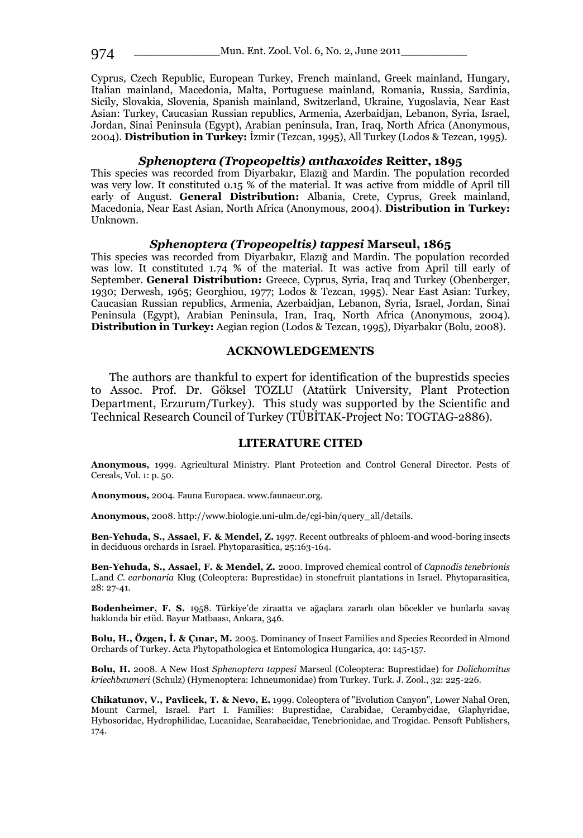Cyprus, Czech Republic, European Turkey, French mainland, Greek mainland, Hungary, Italian mainland, Macedonia, Malta, Portuguese mainland, Romania, Russia, Sardinia, Sicily, Slovakia, Slovenia, Spanish mainland, Switzerland, Ukraine, Yugoslavia, Near East Asian: Turkey, Caucasian Russian republics, Armenia, Azerbaidjan, Lebanon, Syria, Israel, Jordan, Sinai Peninsula (Egypt), Arabian peninsula, Iran, Iraq, North Africa (Anonymous, 2004). **Distribution in Turkey:** İzmir (Tezcan, 1995), All Turkey (Lodos & Tezcan, 1995).

#### *Sphenoptera (Tropeopeltis) anthaxoides* **Reitter, 1895**

This species was recorded from Diyarbakır, Elazığ and Mardin. The population recorded was very low. It constituted 0.15 % of the material. It was active from middle of April till early of August. **General Distribution:** Albania, Crete, Cyprus, Greek mainland, Macedonia, Near East Asian, North Africa (Anonymous, 2004). **Distribution in Turkey:** Unknown.

#### *Sphenoptera (Tropeopeltis) tappesi* **Marseul, 1865**

This species was recorded from Diyarbakır, Elazığ and Mardin. The population recorded was low. It constituted 1.74 % of the material. It was active from April till early of September. **General Distribution:** Greece, Cyprus, Syria, Iraq and Turkey (Obenberger, 1930; Derwesh, 1965; Georghiou, 1977; Lodos & Tezcan, 1995). Near East Asian: Turkey, Caucasian Russian republics, Armenia, Azerbaidjan, Lebanon, Syria, Israel, Jordan, Sinai Peninsula (Egypt), Arabian Peninsula, Iran, Iraq, North Africa (Anonymous, 2004). **Distribution in Turkey:** Aegian region (Lodos & Tezcan, 1995), Diyarbakır (Bolu, 2008).

## **ACKNOWLEDGEMENTS**

The authors are thankful to expert for identification of the buprestids species to Assoc. Prof. Dr. Göksel TOZLU (Atatürk University, Plant Protection Department, Erzurum/Turkey). This study was supported by the Scientific and Technical Research Council of Turkey (TÜBİTAK-Project No: TOGTAG-2886).

## **LITERATURE CITED**

**Anonymous,** 1999. Agricultural Ministry. Plant Protection and Control General Director. Pests of Cereals, Vol. 1: p. 50.

**Anonymous,** 2004. Fauna Europaea. www.faunaeur.org.

**Anonymous,** 2008. http://www.biologie.uni-ulm.de/cgi-bin/query\_all/details.

**Ben-Yehuda, S., Assael, F. & Mendel, Z.** 1997. Recent outbreaks of phloem-and wood-boring insects in deciduous orchards in Israel. Phytoparasitica, 25:163-164.

**Ben-Yehuda, S., Assael, F. & Mendel, Z.** 2000. Improved chemical control of *Capnodis tenebrionis*  L.and *C. carbonaria* Klug (Coleoptera: Buprestidae) in stonefruit plantations in Israel. Phytoparasitica, 28: 27-41.

**Bodenheimer, F. S.** 1958. Türkiye'de ziraatta ve ağaçlara zararlı olan böcekler ve bunlarla savaş hakkında bir etüd. Bayur Matbaası, Ankara, 346.

**Bolu, H., Özgen, İ. & Çınar, M.** 2005. Dominancy of Insect Families and Species Recorded in Almond Orchards of Turkey. Acta Phytopathologica et Entomologica Hungarica, 40: 145-157.

**Bolu, H.** 2008. A New Host *Sphenoptera tappesi* Marseul (Coleoptera: Buprestidae) for *Dolichomitus kriechbaumeri* (Schulz) (Hymenoptera: Ichneumonidae) from Turkey. Turk. J. Zool., 32: 225-226.

**Chikatunov, V., Pavlicek, T. & Nevo, E.** 1999. Coleoptera of "Evolution Canyon", Lower Nahal Oren, Mount Carmel, Israel. Part I. Families: Buprestidae, Carabidae, Cerambycidae, Glaphyridae, Hybosoridae, Hydrophilidae, Lucanidae, Scarabaeidae, Tenebrionidae, and Trogidae. Pensoft Publishers, 174.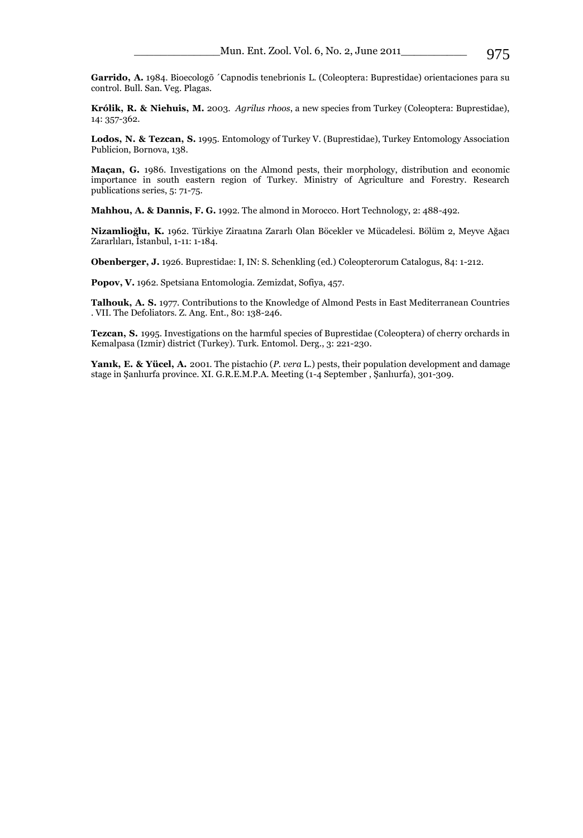**Garrido, A.** 1984. Bioecologõ ´Capnodis tenebrionis L. (Coleoptera: Buprestidae) orientaciones para su control. Bull. San. Veg. Plagas.

**Królik, R. & [Niehuis, M.](http://www.biol.uni.wroc.pl/cassidae/Agrilusrhoos.pdf)** 2003. *Agrilus rhoos*, a new species from Turkey (Coleoptera: Buprestidae), 14: 357-362.

**Lodos, N. & Tezcan, S.** 1995. Entomology of Turkey V. (Buprestidae), Turkey Entomology Association Publicion, Bornova, 138.

**Maçan, G.** 1986. Investigations on the Almond pests, their morphology, distribution and economic importance in south eastern region of Turkey. Ministry of Agriculture and Forestry. Research publications series, 5: 71-75.

**Mahhou, A. & Dannis, F. G.** 1992. The almond in Morocco. Hort Technology, 2: 488-492.

**Nizamlioğlu, K.** 1962. Türkiye Ziraatına Zararlı Olan Böcekler ve Mücadelesi. Bölüm 2, Meyve Ağacı Zararlıları, İstanbul, 1-11: 1-184.

**Obenberger, J.** 1926. Buprestidae: I, IN: S. Schenkling (ed.) Coleopterorum Catalogus, 84: 1-212.

**Popov, V.** 1962. Spetsiana Entomologia. Zemizdat, Sofiya, 457.

**Talhouk, A. S.** 1977. Contributions to the Knowledge of Almond Pests in East Mediterranean Countries . VII. The Defoliators. Z. Ang. Ent., 80: 138-246.

**Tezcan, S.** 1995. Investigations on the harmful species of Buprestidae (Coleoptera) of cherry orchards in Kemalpasa (Izmir) district (Turkey). Turk. Entomol. Derg., 3: 221-230.

**Yanık, E. & Yücel, A.** 2001. The pistachio (*P. vera* L.) pests, their population development and damage stage in Şanlıurfa province. XI. G.R.E.M.P.A. Meeting (1-4 September , Şanlıurfa), 301-309.